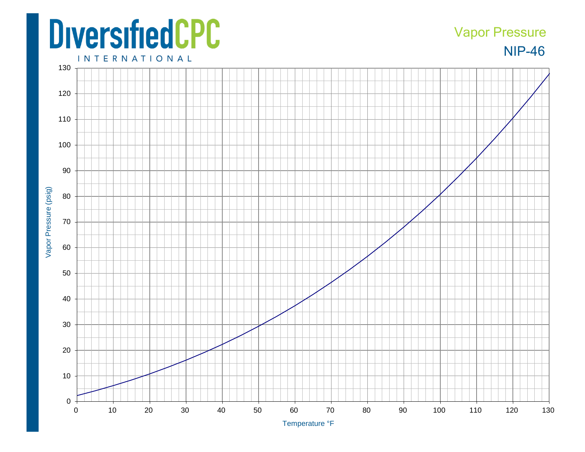## **DiversifiedCPC**

## NIP-46 Vapor Pressure

**INTERNATIONAL**